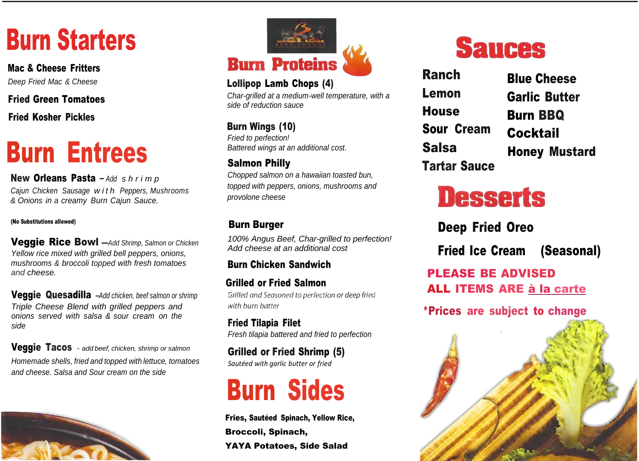# Burn Starters

Mac & Cheese Fritters *Deep Fried Mac & Cheese*

Fried Green Tomatoes

Fried Kosher Pickles

# Burn Entrees

New Orleans Pasta – *Add s h r i m p Cajun Chicken Sausage w i t h Peppers, Mushrooms & Onions in a creamy Burn Cajun Sauce.*

#### (No Substitutions allowed)

Veggie Rice Bowl —*Add Shrimp, Salmon or Chicken Yellow rice mixed with grilled bell peppers, onions, mushrooms & broccoli topped with fresh tomatoes and cheese.*

Veggie Quesadilla –*Add chicken, beef salmon or shrimp Triple Cheese Blend with grilled peppers and onions served with salsa & sour cream on the side*

Veggie Tacos - *add beef, chicken, shrimp or salmon Homemade shells, fried and topped with lettuce, tomatoes and cheese. Salsa and Sour cream on the side*





### Lollipop Lamb Chops (4)

*Char-grilled at a medium-well temperature, with a side of reduction sauce*

### Burn Wings (10)

*Fried to perfection! Battered wings at an additional cost.*

### Salmon Philly

*Chopped salmon on a hawaiian toasted bun, topped with peppers, onions, mushrooms and provolone cheese*

### Burn Burger

*100% Angus Beef, Char-grilled to perfection! Add cheese at an additional cost*

Burn Chicken Sandwich

 Grilled or Fried Salmon Grilled and Seasoned to perfection or deep fried with burn batter

Fried Tilapia Filet *Fresh tilapia battered and fried to perfection*

Grilled or Fried Shrimp (5) *Sautéed with garlic butter or fried*



Fries, Sautéed Spinach, Yellow Rice, Broccoli, Spinach, YAYA Potatoes, Side Salad

## **Sauces**

| <b>Blue Cheese</b>   |
|----------------------|
| <b>Garlic Butter</b> |
| <b>Burn BBQ</b>      |
| <b>Cocktail</b>      |
| <b>Honey Mustard</b> |
|                      |
|                      |

# **Desserts**

Deep Fried Oreo

Fried Ice Cream (Seasonal)

PLEASE BE ADVISED ALL ITEMS ARE à la carte

\*Prices are subject to change